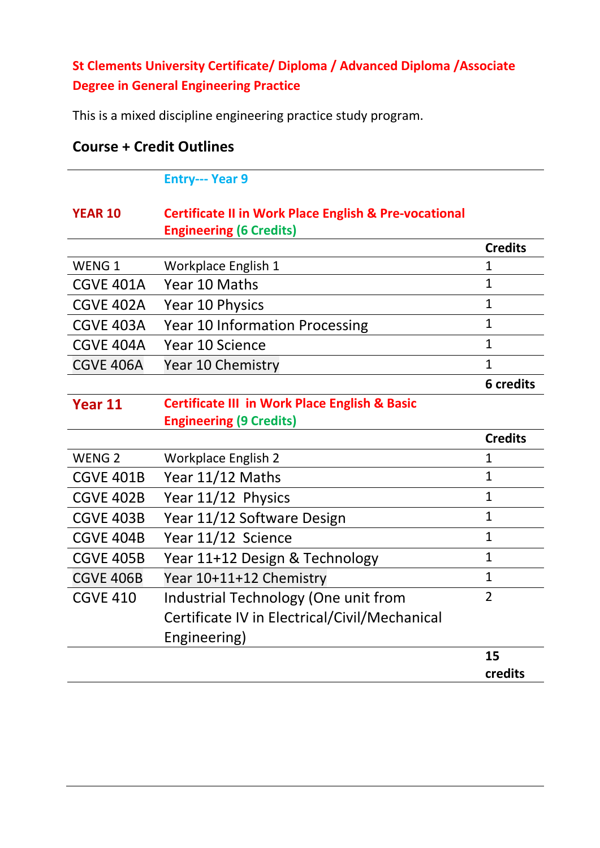## **St Clements University Certificate/ Diploma / Advanced Diploma /Associate Degree in General Engineering Practice**

This is a mixed discipline engineering practice study program.

|                   | <b>Entry--- Year 9</b>                                           |                  |
|-------------------|------------------------------------------------------------------|------------------|
| <b>YEAR 10</b>    | <b>Certificate II in Work Place English &amp; Pre-vocational</b> |                  |
|                   | <b>Engineering (6 Credits)</b>                                   |                  |
|                   |                                                                  | <b>Credits</b>   |
| WENG <sub>1</sub> | Workplace English 1                                              | $\mathbf{1}$     |
| <b>CGVE 401A</b>  | Year 10 Maths                                                    | $\mathbf{1}$     |
| <b>CGVE 402A</b>  | Year 10 Physics                                                  | $\mathbf{1}$     |
| CGVE 403A         | <b>Year 10 Information Processing</b>                            | $\mathbf{1}$     |
| <b>CGVE 404A</b>  | Year 10 Science                                                  | $\mathbf{1}$     |
| <b>CGVE 406A</b>  | Year 10 Chemistry                                                | $\mathbf{1}$     |
|                   |                                                                  | <b>6</b> credits |
| Year 11           | <b>Certificate III in Work Place English &amp; Basic</b>         |                  |
|                   | <b>Engineering (9 Credits)</b>                                   |                  |
|                   |                                                                  | <b>Credits</b>   |
| WENG <sub>2</sub> | <b>Workplace English 2</b>                                       | $\mathbf{1}$     |
| <b>CGVE 401B</b>  | Year 11/12 Maths                                                 | $\mathbf{1}$     |
| <b>CGVE 402B</b>  | Year 11/12 Physics                                               | $\mathbf{1}$     |
| <b>CGVE 403B</b>  | Year 11/12 Software Design                                       | $\mathbf{1}$     |
| <b>CGVE 404B</b>  | Year 11/12 Science                                               | $\mathbf{1}$     |
| <b>CGVE 405B</b>  | Year 11+12 Design & Technology                                   | $\mathbf{1}$     |
| <b>CGVE 406B</b>  | Year 10+11+12 Chemistry                                          | $\mathbf{1}$     |
| <b>CGVE 410</b>   | Industrial Technology (One unit from                             | $\overline{2}$   |
|                   | Certificate IV in Electrical/Civil/Mechanical                    |                  |
|                   | Engineering)                                                     |                  |
|                   |                                                                  | 15               |
|                   |                                                                  | credits          |

## **Course + Credit Outlines**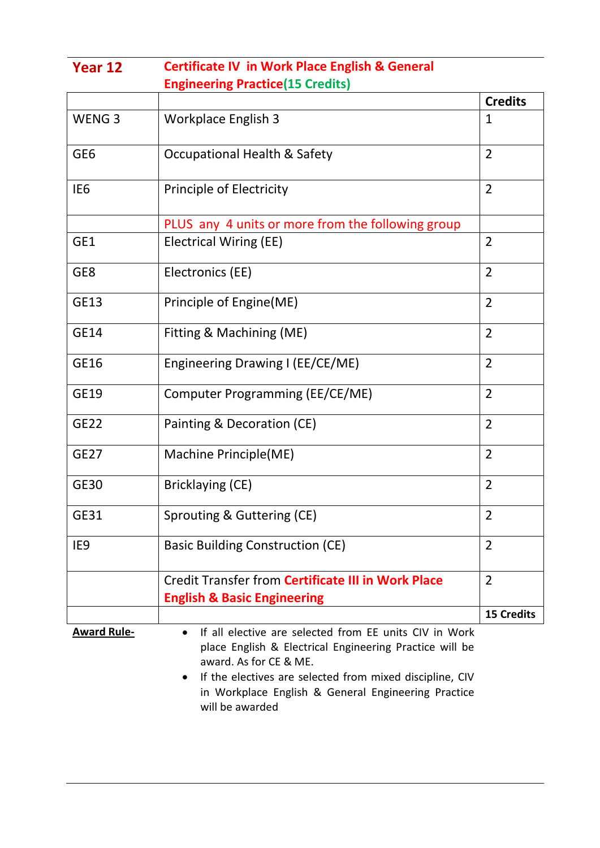| Year 12            | <b>Certificate IV in Work Place English &amp; General</b>                                                                                                                                                                                                                        |                   |
|--------------------|----------------------------------------------------------------------------------------------------------------------------------------------------------------------------------------------------------------------------------------------------------------------------------|-------------------|
|                    | <b>Engineering Practice (15 Credits)</b>                                                                                                                                                                                                                                         |                   |
|                    |                                                                                                                                                                                                                                                                                  | <b>Credits</b>    |
| WENG <sub>3</sub>  | Workplace English 3                                                                                                                                                                                                                                                              | 1                 |
| GE <sub>6</sub>    | <b>Occupational Health &amp; Safety</b>                                                                                                                                                                                                                                          | $\overline{2}$    |
| IE <sub>6</sub>    | Principle of Electricity                                                                                                                                                                                                                                                         | $\overline{2}$    |
|                    | PLUS any 4 units or more from the following group                                                                                                                                                                                                                                |                   |
| GE1                | <b>Electrical Wiring (EE)</b>                                                                                                                                                                                                                                                    | $\overline{2}$    |
| GE8                | Electronics (EE)                                                                                                                                                                                                                                                                 | $\overline{2}$    |
| <b>GE13</b>        | Principle of Engine (ME)                                                                                                                                                                                                                                                         | $\overline{2}$    |
| <b>GE14</b>        | Fitting & Machining (ME)                                                                                                                                                                                                                                                         | $\overline{2}$    |
| GE16               | Engineering Drawing I (EE/CE/ME)                                                                                                                                                                                                                                                 | $\overline{2}$    |
| GE19               | Computer Programming (EE/CE/ME)                                                                                                                                                                                                                                                  | $\overline{2}$    |
| <b>GE22</b>        | Painting & Decoration (CE)                                                                                                                                                                                                                                                       | $\overline{2}$    |
| <b>GE27</b>        | Machine Principle(ME)                                                                                                                                                                                                                                                            | $\overline{2}$    |
| <b>GE30</b>        | Bricklaying (CE)                                                                                                                                                                                                                                                                 | $\overline{2}$    |
| GE31               | Sprouting & Guttering (CE)                                                                                                                                                                                                                                                       | $\overline{2}$    |
| IE9                | <b>Basic Building Construction (CE)</b>                                                                                                                                                                                                                                          | $\overline{2}$    |
|                    | Credit Transfer from Certificate III in Work Place<br><b>English &amp; Basic Engineering</b>                                                                                                                                                                                     | $\overline{2}$    |
|                    |                                                                                                                                                                                                                                                                                  | <b>15 Credits</b> |
| <b>Award Rule-</b> | If all elective are selected from EE units CIV in Work<br>$\bullet$<br>place English & Electrical Engineering Practice will be<br>award. As for CE & ME.<br>If the electives are selected from mixed discipline, CIV<br>٠<br>in Workplace English & General Engineering Practice |                   |

will be awarded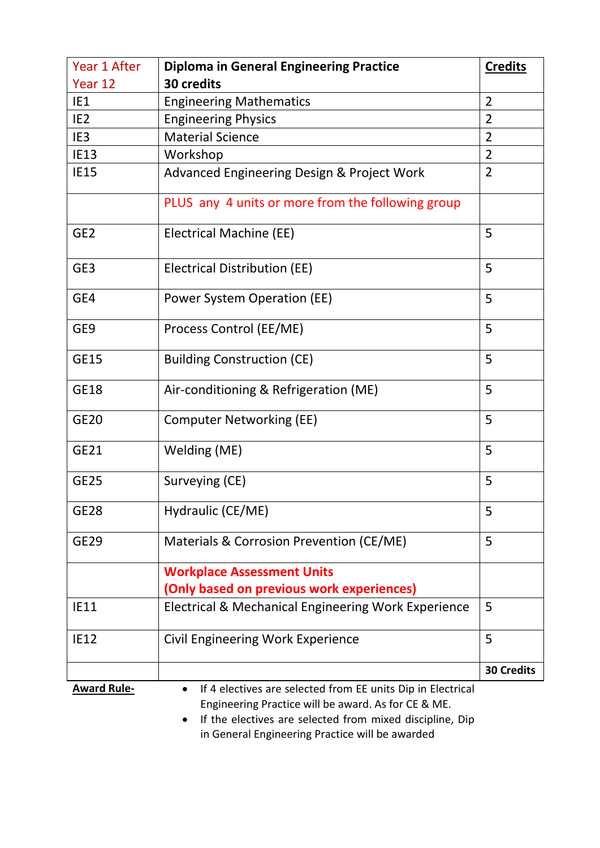| Year 1 After       | <b>Diploma in General Engineering Practice</b>                                                                                                                                      | <b>Credits</b>    |
|--------------------|-------------------------------------------------------------------------------------------------------------------------------------------------------------------------------------|-------------------|
| Year 12            | 30 credits                                                                                                                                                                          |                   |
| IE1                | <b>Engineering Mathematics</b>                                                                                                                                                      | $\overline{2}$    |
| IE <sub>2</sub>    | <b>Engineering Physics</b>                                                                                                                                                          | $\overline{2}$    |
| IE <sub>3</sub>    | <b>Material Science</b>                                                                                                                                                             | $\overline{2}$    |
| <b>IE13</b>        | Workshop                                                                                                                                                                            | $\overline{2}$    |
| <b>IE15</b>        | Advanced Engineering Design & Project Work                                                                                                                                          | $\overline{2}$    |
|                    | PLUS any 4 units or more from the following group                                                                                                                                   |                   |
| GE <sub>2</sub>    | <b>Electrical Machine (EE)</b>                                                                                                                                                      | 5                 |
| GE3                | Electrical Distribution (EE)                                                                                                                                                        | 5                 |
| GE4                | Power System Operation (EE)                                                                                                                                                         | 5                 |
| GE9                | Process Control (EE/ME)                                                                                                                                                             | 5                 |
| <b>GE15</b>        | <b>Building Construction (CE)</b>                                                                                                                                                   | 5                 |
| <b>GE18</b>        | Air-conditioning & Refrigeration (ME)                                                                                                                                               | 5                 |
| <b>GE20</b>        | <b>Computer Networking (EE)</b>                                                                                                                                                     | 5                 |
| GE21               | Welding (ME)                                                                                                                                                                        | 5                 |
| <b>GE25</b>        | Surveying (CE)                                                                                                                                                                      | 5                 |
| <b>GE28</b>        | Hydraulic (CE/ME)                                                                                                                                                                   | 5                 |
| <b>GE29</b>        | Materials & Corrosion Prevention (CE/ME)                                                                                                                                            | 5                 |
|                    | <b>Workplace Assessment Units</b>                                                                                                                                                   |                   |
|                    | (Only based on previous work experiences)                                                                                                                                           |                   |
| <b>IE11</b>        | <b>Electrical &amp; Mechanical Engineering Work Experience</b>                                                                                                                      | 5                 |
| <b>IE12</b>        | Civil Engineering Work Experience                                                                                                                                                   | 5                 |
|                    |                                                                                                                                                                                     | <b>30 Credits</b> |
| <b>Award Rule-</b> | If 4 electives are selected from EE units Dip in Electrical<br>٠<br>Engineering Practice will be award. As for CE & ME.<br>If the electives are selected from mixed discipline. Din |                   |

 If the electives are selected from mixed discipline, Dip in General Engineering Practice will be awarded